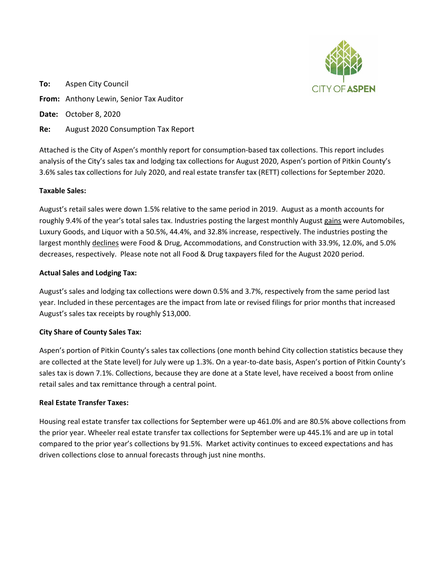

**To:** Aspen City Council **From:** Anthony Lewin, Senior Tax Auditor **Date:** October 8, 2020

**Re:** August 2020 Consumption Tax Report

Attached is the City of Aspen's monthly report for consumption-based tax collections. This report includes analysis of the City's sales tax and lodging tax collections for August 2020, Aspen's portion of Pitkin County's 3.6% sales tax collections for July 2020, and real estate transfer tax (RETT) collections for September 2020.

# **Taxable Sales:**

August's retail sales were down 1.5% relative to the same period in 2019. August as a month accounts for roughly 9.4% of the year's total sales tax. Industries posting the largest monthly August gains were Automobiles, Luxury Goods, and Liquor with a 50.5%, 44.4%, and 32.8% increase, respectively. The industries posting the largest monthly declines were Food & Drug, Accommodations, and Construction with 33.9%, 12.0%, and 5.0% decreases, respectively. Please note not all Food & Drug taxpayers filed for the August 2020 period.

# **Actual Sales and Lodging Tax:**

August's sales and lodging tax collections were down 0.5% and 3.7%, respectively from the same period last year. Included in these percentages are the impact from late or revised filings for prior months that increased August's sales tax receipts by roughly \$13,000.

# **City Share of County Sales Tax:**

Aspen's portion of Pitkin County's sales tax collections (one month behind City collection statistics because they are collected at the State level) for July were up 1.3%. On a year-to-date basis, Aspen's portion of Pitkin County's sales tax is down 7.1%. Collections, because they are done at a State level, have received a boost from online retail sales and tax remittance through a central point.

# **Real Estate Transfer Taxes:**

Housing real estate transfer tax collections for September were up 461.0% and are 80.5% above collections from the prior year. Wheeler real estate transfer tax collections for September were up 445.1% and are up in total compared to the prior year's collections by 91.5%. Market activity continues to exceed expectations and has driven collections close to annual forecasts through just nine months.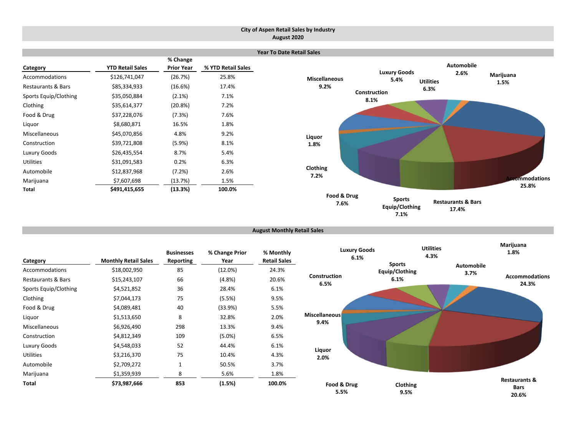### **City of Aspen Retail Sales by Industry August 2020**

|                               |                         |                               |                    | <b>Year To Date Retail Sales</b> |                             |                          |               |
|-------------------------------|-------------------------|-------------------------------|--------------------|----------------------------------|-----------------------------|--------------------------|---------------|
| Category                      | <b>YTD Retail Sales</b> | % Change<br><b>Prior Year</b> | % YTD Retail Sales |                                  |                             | <b>Automobile</b>        |               |
| Accommodations                | \$126,741,047           | (26.7%)                       | 25.8%              | <b>Miscellaneous</b>             | <b>Luxury Goods</b><br>5.4% | 2.6%<br><b>Utilities</b> | Marijuana     |
| <b>Restaurants &amp; Bars</b> | \$85,334,933            | (16.6%)                       | 17.4%              | 9.2%                             |                             | 6.3%                     | 1.5%          |
| Sports Equip/Clothing         | \$35,050,884            | $(2.1\%)$                     | 7.1%               |                                  | Construction<br>8.1%        |                          |               |
| Clothing                      | \$35,614,377            | (20.8%)                       | 7.2%               |                                  |                             |                          |               |
| Food & Drug                   | \$37,228,076            | (7.3%)                        | 7.6%               |                                  |                             |                          |               |
| Liquor                        | \$8,680,871             | 16.5%                         | 1.8%               |                                  |                             |                          |               |
| Miscellaneous                 | \$45,070,856            | 4.8%                          | 9.2%               | Liquor                           |                             |                          |               |
| Construction                  | \$39,721,808            | (5.9%)                        | 8.1%               | 1.8%                             |                             |                          |               |
| Luxury Goods                  | \$26,435,554            | 8.7%                          | 5.4%               |                                  |                             |                          |               |
| <b>Utilities</b>              | \$31,091,583            | 0.2%                          | 6.3%               |                                  |                             |                          |               |
| Automobile                    | \$12,837,968            | (7.2%)                        | 2.6%               | Clothing<br>7.2%                 |                             |                          |               |
| Marijuana                     | \$7,607,698             | (13.7%)                       | 1.5%               |                                  |                             |                          | ccommodations |
| Total                         | \$491,415,655           | (13.3%)                       | 100.0%             |                                  |                             |                          | 25.8%         |
|                               |                         |                               |                    | Food & Drug<br>$ -$              | <b>Sports</b>               | Postaurants 8. Rars      |               |

**August Monthly Retail Sales**

**7.6%**

**Restaurants & Bars 17.4%**

**Equip/Clothing 7.1%**

| Category                      | <b>Monthly Retail Sales</b> | <b>Businesses</b><br><b>Reporting</b> | % Change Prior<br>Year | % Monthly<br><b>Retail Sales</b> |                      | <b>Luxury Goods</b><br>6.1% | <b>Utilities</b><br>4.3% |                   | Marijuana<br>1.8%                                |
|-------------------------------|-----------------------------|---------------------------------------|------------------------|----------------------------------|----------------------|-----------------------------|--------------------------|-------------------|--------------------------------------------------|
| Accommodations                | \$18,002,950                | 85                                    | (12.0%)                | 24.3%                            |                      |                             | <b>Sports</b>            | <b>Automobile</b> |                                                  |
| <b>Restaurants &amp; Bars</b> | \$15,243,107                | 66                                    | (4.8%)                 | 20.6%                            | Construction         |                             | Equip/Clothing<br>6.1%   | 3.7%              | <b>Accommodations</b>                            |
| Sports Equip/Clothing         | \$4,521,852                 | 36                                    | 28.4%                  | 6.1%                             | 6.5%                 |                             |                          |                   | 24.3%                                            |
| Clothing                      | \$7,044,173                 | 75                                    | (5.5%)                 | 9.5%                             |                      |                             |                          |                   |                                                  |
| Food & Drug                   | \$4,089,481                 | 40                                    | (33.9%)                | 5.5%                             |                      |                             |                          |                   |                                                  |
| Liquor                        | \$1,513,650                 | 8                                     | 32.8%                  | 2.0%                             | <b>Miscellaneous</b> |                             |                          |                   |                                                  |
| Miscellaneous                 | \$6,926,490                 | 298                                   | 13.3%                  | 9.4%                             | 9.4%                 |                             |                          |                   |                                                  |
| Construction                  | \$4,812,349                 | 109                                   | (5.0%)                 | 6.5%                             |                      |                             |                          |                   |                                                  |
| Luxury Goods                  | \$4,548,033                 | 52                                    | 44.4%                  | 6.1%                             |                      |                             |                          |                   |                                                  |
| Utilities                     | \$3,216,370                 | 75                                    | 10.4%                  | 4.3%                             | Liquor<br>2.0%       |                             |                          |                   |                                                  |
| Automobile                    | \$2,709,272                 | $\mathbf{1}$                          | 50.5%                  | 3.7%                             |                      |                             |                          |                   |                                                  |
| Marijuana                     | \$1,359,939                 | 8                                     | 5.6%                   | 1.8%                             |                      |                             |                          |                   |                                                  |
| Total                         | \$73,987,666                | 853                                   | (1.5%)                 | 100.0%                           |                      | Food & Drug<br>5.5%         | Clothing<br>9.5%         |                   | <b>Restaurants &amp;</b><br><b>Bars</b><br>20.6% |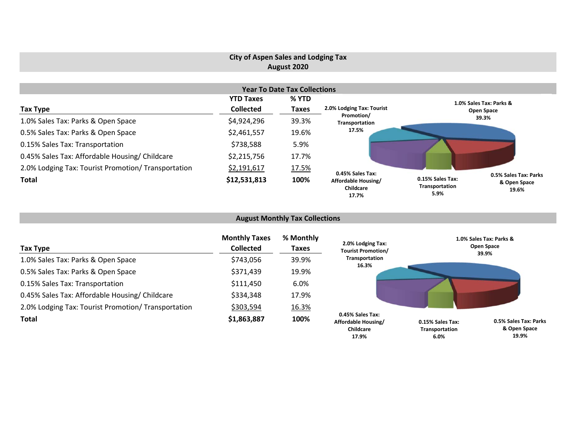# **City of Aspen Sales and Lodging Tax August 2020**

|                                                     |                  | <b>Year To Date Tax Collections</b> |                                           |                                                                                              |
|-----------------------------------------------------|------------------|-------------------------------------|-------------------------------------------|----------------------------------------------------------------------------------------------|
|                                                     | <b>YTD Taxes</b> | % YTD                               |                                           | 1.0% Sales Tax: Parks &                                                                      |
| Tax Type                                            | <b>Collected</b> | <b>Taxes</b>                        | 2.0% Lodging Tax: Tourist                 | Open Space                                                                                   |
| 1.0% Sales Tax: Parks & Open Space                  | \$4,924,296      | 39.3%                               | Promotion/<br>Transportation              | 39.3%                                                                                        |
| 0.5% Sales Tax: Parks & Open Space                  | \$2,461,557      | 19.6%                               | 17.5%                                     |                                                                                              |
| 0.15% Sales Tax: Transportation                     | \$738,588        | 5.9%                                |                                           |                                                                                              |
| 0.45% Sales Tax: Affordable Housing/ Childcare      | \$2,215,756      | 17.7%                               |                                           |                                                                                              |
| 2.0% Lodging Tax: Tourist Promotion/ Transportation | \$2,191,617      | 17.5%                               | 0.45% Sales Tax:                          |                                                                                              |
| <b>Total</b>                                        | \$12,531,813     | 100%                                | Affordable Housing/<br>Childcare<br>17.7% | 0.5% Sales Tax: Parks<br>0.15% Sales Tax:<br>& Open Space<br>Transportation<br>19.6%<br>5.9% |

# **August Monthly Tax Collections**

| Tax Type                                            | <b>Monthly Taxes</b><br><b>Collected</b> | % Monthly<br>Taxes | 2.0% Lodging Tax:<br><b>Tourist Promotion/</b>              | 1.0% Sales Tax: Parks &<br>Open Space<br>39.9%                              |
|-----------------------------------------------------|------------------------------------------|--------------------|-------------------------------------------------------------|-----------------------------------------------------------------------------|
| 1.0% Sales Tax: Parks & Open Space                  | \$743,056                                | 39.9%              | Transportation<br>16.3%                                     |                                                                             |
| 0.5% Sales Tax: Parks & Open Space                  | \$371,439                                | 19.9%              |                                                             |                                                                             |
| 0.15% Sales Tax: Transportation                     | \$111,450                                | 6.0%               |                                                             |                                                                             |
| 0.45% Sales Tax: Affordable Housing/ Childcare      | \$334,348                                | 17.9%              |                                                             |                                                                             |
| 2.0% Lodging Tax: Tourist Promotion/ Transportation | \$303,594                                | 16.3%              |                                                             |                                                                             |
| <b>Total</b>                                        | \$1,863,887                              | 100%               | 0.45% Sales Tax:<br>Affordable Housing/<br><b>Childcare</b> | 0.5% Sales Tax: Parks<br>0.15% Sales Tax:<br>& Open Space<br>Transportation |

**19.9%**

**6.0%**

**17.9%**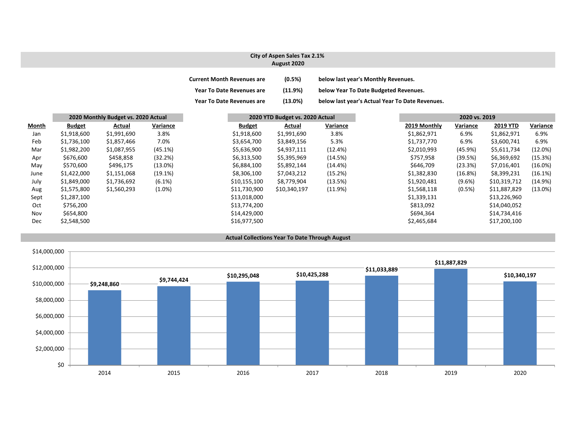### **City of Aspen Sales Tax 2.1% August 2020**

| <b>Current Month Revenues are</b> | (0.5%)     | below last year's Monthly Revenues.             |
|-----------------------------------|------------|-------------------------------------------------|
| <b>Year To Date Revenues are</b>  | (11.9%)    | below Year To Date Budgeted Revenues.           |
| <b>Year To Date Revenues are</b>  | $(13.0\%)$ | below last year's Actual Year To Date Revenues. |

|       |               | 2020 Monthly Budget vs. 2020 Actual |            |               | 2020 YTD Budget vs. 2020 Actual |            |              | 2020 vs. 2019 |              |            |
|-------|---------------|-------------------------------------|------------|---------------|---------------------------------|------------|--------------|---------------|--------------|------------|
| Month | <b>Budget</b> | Actual                              | Variance   | <b>Budget</b> | Actual                          | Variance   | 2019 Monthly | Variance      | 2019 YTD     | Variance   |
| Jan   | \$1,918,600   | \$1,991,690                         | 3.8%       | \$1,918,600   | \$1,991,690                     | 3.8%       | \$1,862,971  | 6.9%          | \$1,862,971  | 6.9%       |
| Feb   | \$1,736,100   | \$1,857,466                         | 7.0%       | \$3,654,700   | \$3,849,156                     | 5.3%       | \$1,737,770  | 6.9%          | \$3,600,741  | 6.9%       |
| Mar   | \$1,982,200   | \$1,087,955                         | (45.1%)    | \$5,636,900   | \$4,937,111                     | (12.4%)    | \$2,010,993  | (45.9%)       | \$5,611,734  | (12.0%)    |
| Apr   | \$676,600     | \$458,858                           | (32.2%)    | \$6,313,500   | \$5,395,969                     | (14.5%)    | \$757,958    | (39.5%)       | \$6,369,692  | (15.3%)    |
| May   | \$570,600     | \$496,175                           | $(13.0\%)$ | \$6,884,100   | \$5,892,144                     | $(14.4\%)$ | \$646,709    | (23.3%)       | \$7,016,401  | (16.0%)    |
| June  | \$1,422,000   | \$1,151,068                         | (19.1%)    | \$8,306,100   | \$7,043,212                     | (15.2%)    | \$1,382,830  | (16.8%)       | \$8,399,231  | (16.1%)    |
| July  | \$1,849,000   | \$1,736,692                         | (6.1%)     | \$10,155,100  | \$8,779,904                     | (13.5%)    | \$1,920,481  | $(9.6\%)$     | \$10,319,712 | (14.9%)    |
| Aug   | \$1,575,800   | \$1,560,293                         | $(1.0\%)$  | \$11,730,900  | \$10,340,197                    | (11.9%)    | \$1,568,118  | (0.5%)        | \$11,887,829 | $(13.0\%)$ |
| Sept  | \$1,287,100   |                                     |            | \$13,018,000  |                                 |            | \$1,339,131  |               | \$13,226,960 |            |
| Oct   | \$756,200     |                                     |            | \$13,774,200  |                                 |            | \$813,092    |               | \$14,040,052 |            |
| Nov   | \$654,800     |                                     |            | \$14,429,000  |                                 |            | \$694,364    |               | \$14,734,416 |            |
| Dec   | \$2,548,500   |                                     |            | \$16,977,500  |                                 |            | \$2,465,684  |               | \$17,200,100 |            |

#### **Actual Collections Year To Date Through August**

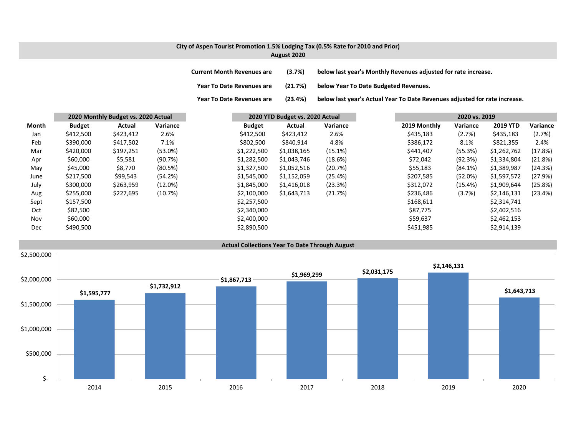### **City of Aspen Tourist Promotion 1.5% Lodging Tax (0.5% Rate for 2010 and Prior) August 2020**

**Current MonthRevenues are (3.7%) below last year's Monthly Revenues adjusted for rate increase.**

**Year ToDate Revenues are (21.7%) below Year To Date Budgeted Revenues.**

**Year To**

(23.4%) below last year's Actual Year To Date Revenues adjusted for rate increase.

|              |               | 2020 Monthly Budget vs. 2020 Actual |            |               | 2020 YTD Budget vs. 2020 Actual |          |              | 2020 vs. 2019 |                 |          |
|--------------|---------------|-------------------------------------|------------|---------------|---------------------------------|----------|--------------|---------------|-----------------|----------|
| <b>Month</b> | <b>Budget</b> | Actual                              | Variance   | <b>Budget</b> | Actual                          | Variance | 2019 Monthly | Variance      | <b>2019 YTD</b> | Variance |
| Jan          | \$412,500     | \$423,412                           | 2.6%       | \$412,500     | \$423,412                       | 2.6%     | \$435,183    | (2.7%)        | \$435,183       | (2.7%)   |
| Feb          | \$390,000     | \$417,502                           | 7.1%       | \$802,500     | \$840,914                       | 4.8%     | \$386,172    | 8.1%          | \$821,355       | 2.4%     |
| Mar          | \$420,000     | \$197,251                           | $(53.0\%)$ | \$1,222,500   | \$1,038,165                     | (15.1%)  | \$441,407    | (55.3%)       | \$1,262,762     | (17.8%)  |
| Apr          | \$60,000      | \$5,581                             | (90.7%)    | \$1,282,500   | \$1,043,746                     | (18.6%)  | \$72,042     | (92.3%)       | \$1,334,804     | (21.8%)  |
| May          | \$45,000      | \$8,770                             | (80.5%)    | \$1,327,500   | \$1,052,516                     | (20.7%)  | \$55,183     | (84.1%)       | \$1,389,987     | (24.3%)  |
| June         | \$217,500     | \$99,543                            | (54.2%)    | \$1,545,000   | \$1,152,059                     | (25.4%)  | \$207,585    | (52.0%)       | \$1,597,572     | (27.9%)  |
| July         | \$300,000     | \$263,959                           | (12.0%)    | \$1,845,000   | \$1,416,018                     | (23.3%)  | \$312,072    | (15.4%)       | \$1,909,644     | (25.8%)  |
| Aug          | \$255,000     | \$227,695                           | (10.7%)    | \$2,100,000   | \$1,643,713                     | (21.7%)  | \$236,486    | (3.7%)        | \$2,146,131     | (23.4%)  |
| Sept         | \$157,500     |                                     |            | \$2,257,500   |                                 |          | \$168,611    |               | \$2,314,741     |          |
| Oct          | \$82,500      |                                     |            | \$2,340,000   |                                 |          | \$87,775     |               | \$2,402,516     |          |
| Nov          | \$60,000      |                                     |            | \$2,400,000   |                                 |          | \$59,637     |               | \$2,462,153     |          |
| <b>Dec</b>   | \$490,500     |                                     |            | \$2,890,500   |                                 |          | \$451,985    |               | \$2,914,139     |          |

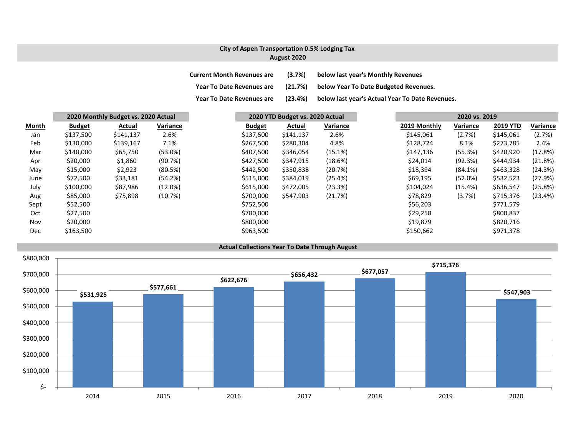## **City of Aspen Transportation 0.5% Lodging Tax August 2020**

- **Current MonthRevenues are (3.7%) below last year's Monthly Revenues**
- **Year ToDate Revenues are (21.7%) below Year To Date Budgeted Revenues.**
- **Year ToDate Revenues are (23.4%) below last year's Actual Year To Date Revenues.**

|            |               | 2020 Monthly Budget vs. 2020 Actual |            |               | 2020 YTD Budget vs. 2020 Actual |          |              | 2020 vs. 2019 |                 |          |
|------------|---------------|-------------------------------------|------------|---------------|---------------------------------|----------|--------------|---------------|-----------------|----------|
| Month      | <b>Budget</b> | Actual                              | Variance   | <b>Budget</b> | Actual                          | Variance | 2019 Monthly | Variance      | <b>2019 YTD</b> | Variance |
| Jan        | \$137,500     | \$141,137                           | 2.6%       | \$137,500     | \$141,137                       | 2.6%     | \$145,061    | (2.7%)        | \$145,061       | (2.7%)   |
| Feb        | \$130,000     | \$139,167                           | 7.1%       | \$267,500     | \$280,304                       | 4.8%     | \$128,724    | 8.1%          | \$273,785       | 2.4%     |
| Mar        | \$140,000     | \$65,750                            | (53.0%)    | \$407,500     | \$346,054                       | (15.1%)  | \$147,136    | (55.3%)       | \$420,920       | (17.8%)  |
| Apr        | \$20,000      | \$1,860                             | (90.7%)    | \$427,500     | \$347,915                       | (18.6%)  | \$24,014     | (92.3%)       | \$444,934       | (21.8%)  |
| May        | \$15,000      | \$2,923                             | (80.5%)    | \$442,500     | \$350,838                       | (20.7%)  | \$18,394     | $(84.1\%)$    | \$463,328       | (24.3%)  |
| June       | \$72,500      | \$33,181                            | (54.2%)    | \$515,000     | \$384,019                       | (25.4%)  | \$69,195     | (52.0%)       | \$532,523       | (27.9%)  |
| July       | \$100,000     | \$87,986                            | $(12.0\%)$ | \$615,000     | \$472,005                       | (23.3%)  | \$104,024    | (15.4%)       | \$636,547       | (25.8%)  |
| Aug        | \$85,000      | \$75,898                            | (10.7%)    | \$700,000     | \$547,903                       | (21.7%)  | \$78,829     | (3.7%)        | \$715,376       | (23.4%)  |
| Sept       | \$52,500      |                                     |            | \$752,500     |                                 |          | \$56,203     |               | \$771,579       |          |
| Oct        | \$27,500      |                                     |            | \$780,000     |                                 |          | \$29,258     |               | \$800,837       |          |
| Nov        | \$20,000      |                                     |            | \$800,000     |                                 |          | \$19,879     |               | \$820,716       |          |
| <b>Dec</b> | \$163,500     |                                     |            | \$963,500     |                                 |          | \$150,662    |               | \$971,378       |          |

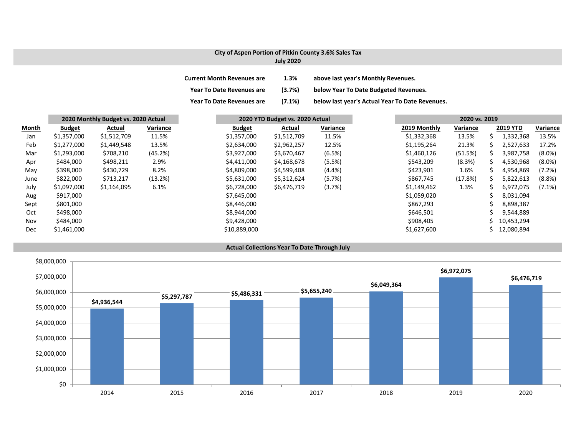## **City of Aspen Portion of Pitkin County 3.6% Sales Tax**

## **July 2020**

| <b>Current Month Revenues are</b> | 1.3%      | above last year's Monthly Revenues.             |
|-----------------------------------|-----------|-------------------------------------------------|
| <b>Year To Date Revenues are</b>  | (3.7%)    | below Year To Date Budgeted Revenues.           |
| <b>Year To Date Revenues are</b>  | $(7.1\%)$ | below last year's Actual Year To Date Revenues. |

|              |               | 2020 Monthly Budget vs. 2020 Actual |          |               | 2020 YTD Budget vs. 2020 Actual |          |              | 2020 vs. 2019 |    |                 |           |
|--------------|---------------|-------------------------------------|----------|---------------|---------------------------------|----------|--------------|---------------|----|-----------------|-----------|
| <b>Month</b> | <b>Budget</b> | Actual                              | Variance | <b>Budget</b> | Actual                          | Variance | 2019 Monthly | Variance      |    | <b>2019 YTD</b> | Variance  |
| Jan          | \$1,357,000   | \$1,512,709                         | 11.5%    | \$1,357,000   | \$1,512,709                     | 11.5%    | \$1,332,368  | 13.5%         | S  | 1,332,368       | 13.5%     |
| Feb          | \$1,277,000   | \$1,449,548                         | 13.5%    | \$2,634,000   | \$2,962,257                     | 12.5%    | \$1,195,264  | 21.3%         |    | 2,527,633       | 17.2%     |
| Mar          | \$1,293,000   | \$708,210                           | (45.2%)  | \$3,927,000   | \$3,670,467                     | (6.5%)   | \$1,460,126  | (51.5%)       | S  | 3,987,758       | $(8.0\%)$ |
| Apr          | \$484,000     | \$498,211                           | 2.9%     | \$4,411,000   | \$4,168,678                     | (5.5%)   | \$543,209    | (8.3%)        | S  | 4,530,968       | $(8.0\%)$ |
| May          | \$398,000     | \$430,729                           | 8.2%     | \$4,809,000   | \$4,599,408                     | (4.4% )  | \$423,901    | 1.6%          | S. | 4,954,869       | (7.2%)    |
| June         | \$822,000     | \$713,217                           | (13.2%)  | \$5,631,000   | \$5,312,624                     | (5.7%)   | \$867,745    | (17.8%)       | S. | 5,822,613       | (8.8%)    |
| July         | \$1,097,000   | \$1,164,095                         | 6.1%     | \$6,728,000   | \$6,476,719                     | (3.7%)   | \$1,149,462  | 1.3%          |    | 6,972,075       | $(7.1\%)$ |
| Aug          | \$917,000     |                                     |          | \$7,645,000   |                                 |          | \$1,059,020  |               |    | 8,031,094       |           |
| Sept         | \$801,000     |                                     |          | \$8,446,000   |                                 |          | \$867,293    |               |    | 8,898,387       |           |
| Oct          | \$498,000     |                                     |          | \$8,944,000   |                                 |          | \$646,501    |               |    | 9,544,889       |           |
| Nov          | \$484,000     |                                     |          | \$9,428,000   |                                 |          | \$908,405    |               |    | 10,453,294      |           |
| Dec          | \$1,461,000   |                                     |          | \$10,889,000  |                                 |          | \$1,627,600  |               |    | 12,080,894      |           |

#### **Actual Collections Year To Date Through July**

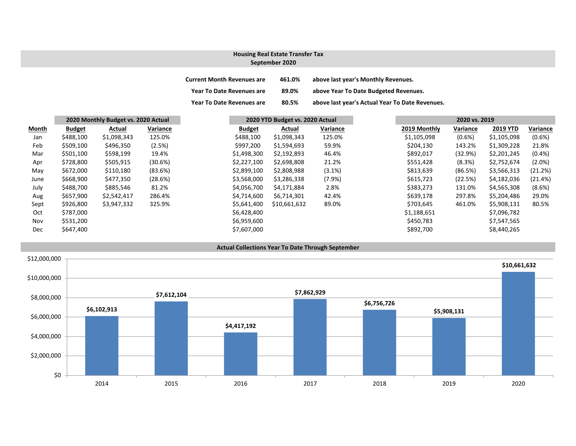## **September 2020 Housing Real Estate Transfer Tax**

| <b>Current Month Revenues are</b> | 461.0% | above last year's Monthly Revenues.             |
|-----------------------------------|--------|-------------------------------------------------|
| <b>Year To Date Revenues are</b>  | 89.0%  | above Year To Date Budgeted Revenues.           |
| <b>Year To Date Revenues are</b>  | 80.5%  | above last year's Actual Year To Date Revenues. |

|       |               | 2020 Monthly Budget vs. 2020 Actual |          |               | 2020 YTD Budget vs. 2020 Actual |          |              | 2020 vs. 2019 |                 |
|-------|---------------|-------------------------------------|----------|---------------|---------------------------------|----------|--------------|---------------|-----------------|
| Month | <b>Budget</b> | Actual                              | Variance | <b>Budget</b> | Actual                          | Variance | 2019 Monthly | Variance      | <b>2019 YTD</b> |
| Jan   | \$488,100     | \$1,098,343                         | 125.0%   | \$488,100     | \$1,098,343                     | 125.0%   | \$1,105,098  | $(0.6\%)$     | \$1,105,098     |
| Feb   | \$509,100     | \$496,350                           | (2.5%)   | \$997,200     | \$1,594,693                     | 59.9%    | \$204,130    | 143.2%        | \$1,309,228     |
| Mar   | \$501,100     | \$598,199                           | 19.4%    | \$1,498,300   | \$2,192,893                     | 46.4%    | \$892,017    | (32.9%)       | \$2,201,245     |
| Apr   | \$728,800     | \$505,915                           | (30.6%)  | \$2,227,100   | \$2,698,808                     | 21.2%    | \$551,428    | (8.3%)        | \$2,752,674     |
| May   | \$672,000     | \$110,180                           | (83.6%)  | \$2,899,100   | \$2,808,988                     | (3.1%)   | \$813,639    | (86.5%)       | \$3,566,313     |
| June  | \$668,900     | \$477,350                           | (28.6%)  | \$3,568,000   | \$3,286,338                     | (7.9%)   | \$615,723    | (22.5%)       | \$4,182,036     |
| July  | \$488,700     | \$885,546                           | 81.2%    | \$4,056,700   | \$4,171,884                     | 2.8%     | \$383,273    | 131.0%        | \$4,565,308     |
| Aug   | \$657,900     | \$2,542,417                         | 286.4%   | \$4,714,600   | \$6,714,301                     | 42.4%    | \$639,178    | 297.8%        | \$5,204,486     |
| Sept  | \$926,800     | \$3,947,332                         | 325.9%   | \$5,641,400   | \$10,661,632                    | 89.0%    | \$703,645    | 461.0%        | \$5,908,131     |
| Oct   | \$787,000     |                                     |          | \$6,428,400   |                                 |          | \$1,188,651  |               | \$7,096,782     |
| Nov   | \$531,200     |                                     |          | \$6,959,600   |                                 |          | \$450,783    |               | \$7,547,565     |
| Dec   | \$647,400     |                                     |          | \$7,607,000   |                                 |          | \$892,700    |               | \$8,440,265     |